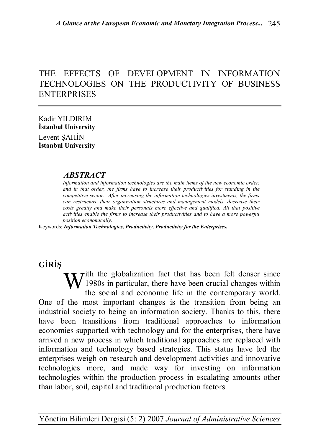# THE EFFECTS OF DEVELOPMENT IN INFORMATION TECHNOLOGIES ON THE PRODUCTIVITY OF BUSINESS ENTERPRISES

Kadir YILDIRIM **İstanbul University** Levent ŞAHİN **İstanbul University**

### *ABSTRACT*

*Information and information technologies are the main items of the new economic order, and in that order, the firms have to increase their productivities for standing in the competitive sector. After increasing the information technologies investments, the firms can restructure their organization structures and management models, decrease their costs greatly and make their personals more effective and qualified. All that positive activities enable the firms to increase their productivities and to have a more powerful position economically.*

Keywords: *Information Technologies, Productivity, Productivity for the Enterprises.*

# **GİRİŞ**

 $\mathbf{W}$ <sup>ith the globalization fact that has been felt denser since</sup><br>the social and economic life in the contemporary world <sup>1</sup> 1980s in particular, there have been crucial changes within the social and economic life in the contemporary world. One of the most important changes is the transition from being an industrial society to being an information society. Thanks to this, there have been transitions from traditional approaches to information economies supported with technology and for the enterprises, there have arrived a new process in which traditional approaches are replaced with information and technology based strategies. This status have led the enterprises weigh on research and development activities and innovative technologies more, and made way for investing on information technologies within the production process in escalating amounts other than labor, soil, capital and traditional production factors.

Yönetim Bilimleri Dergisi (5: 2) 2007 *Journal of Administrative Sciences*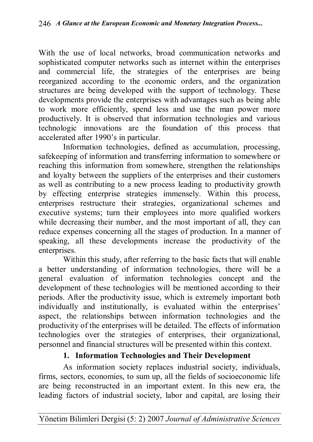With the use of local networks, broad communication networks and sophisticated computer networks such as internet within the enterprises and commercial life, the strategies of the enterprises are being reorganized according to the economic orders, and the organization structures are being developed with the support of technology. These developments provide the enterprises with advantages such as being able to work more efficiently, spend less and use the man power more productively. It is observed that information technologies and various technologic innovations are the foundation of this process that accelerated after 1990's in particular.

Information technologies, defined as accumulation, processing, safekeeping of information and transferring information to somewhere or reaching this information from somewhere, strengthen the relationships and loyalty between the suppliers of the enterprises and their customers as well as contributing to a new process leading to productivity growth by effecting enterprise strategies immensely. Within this process, enterprises restructure their strategies, organizational schemes and executive systems; turn their employees into more qualified workers while decreasing their number, and the most important of all, they can reduce expenses concerning all the stages of production. In a manner of speaking, all these developments increase the productivity of the enterprises.

Within this study, after referring to the basic facts that will enable a better understanding of information technologies, there will be a general evaluation of information technologies concept and the development of these technologies will be mentioned according to their periods. After the productivity issue, which is extremely important both individually and institutionally, is evaluated within the enterprises' aspect, the relationships between information technologies and the productivity of the enterprises will be detailed. The effects of information technologies over the strategies of enterprises, their organizational, personnel and financial structures will be presented within this context.

## **1. Information Technologies and Their Development**

As information society replaces industrial society, individuals, firms, sectors, economies, to sum up, all the fields of socioeconomic life are being reconstructed in an important extent. In this new era, the leading factors of industrial society, labor and capital, are losing their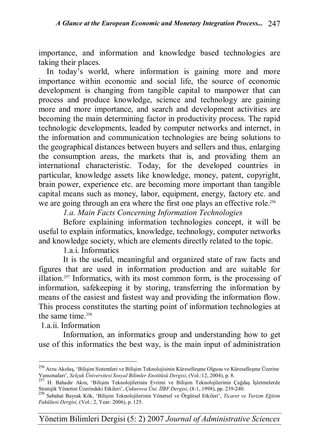importance, and information and knowledge based technologies are taking their places.

In today's world, where information is gaining more and more importance within economic and social life, the source of economic development is changing from tangible capital to manpower that can process and produce knowledge, science and technology are gaining more and more importance, and search and development activities are becoming the main determining factor in productivity process. The rapid technologic developments, leaded by computer networks and internet, in the information and communication technologies are being solutions to the geographical distances between buyers and sellers and thus, enlarging the consumption areas, the markets that is, and providing them an international characteristic. Today, for the developed countries in particular, knowledge assets like knowledge, money, patent, copyright, brain power, experience etc. are becoming more important than tangible capital means such as money, labor, equipment, energy, factory etc. and we are going through an era where the first one plays an effective role.<sup>256</sup>

*1.a. Main Facts Concerning Information Technologies* 

Before explaining information technologies concept, it will be useful to explain informatics, knowledge, technology, computer networks and knowledge society, which are elements directly related to the topic.

1.a.i. Informatics

It is the useful, meaningful and organized state of raw facts and figures that are used in information production and are suitable for illation.257 Informatics, with its most common form, is the processing of information, safekeeping it by storing, transferring the information by means of the easiest and fastest way and providing the information flow. This process constitutes the starting point of information technologies at the same time  $258$ 

1.a.ii. Information

 $\overline{a}$ 

Information, an informatics group and understanding how to get use of this informatics the best way, is the main input of administration

<sup>&</sup>lt;sup>256</sup> Arzu Akolaş, 'Bilişim Sistemleri ve Bilişim Teknolojisinin Küreselleşme Olgusu ve Küreselleşme Üzerine Yansımaları', *Selçuk Üniversitesi Sosyal Bilimler Enstitüsü Dergisi*, (Vol.:12, 2004), p. 8.

<sup>257</sup> H. Bahadır Akın, 'Bilişim Teknolojilerinin Evrimi ve Bilişim Teknolojilerinin Çağdaş İşletmelerde Stratejik Yönetim Üzerindeki Etkileri', *Çukurova Üni. İİBF Dergisi*, (8-1, 1998), pp. 239-240.

<sup>258</sup> Sabahat Bayrak Kök, 'Bilişim Teknolojilerinin Yönetsel ve Örgütsel Etkileri', *Ticaret ve Turizm Eğitim Fakültesi Dergisi,* (Vol.: 2, Year: 2006), p. 125.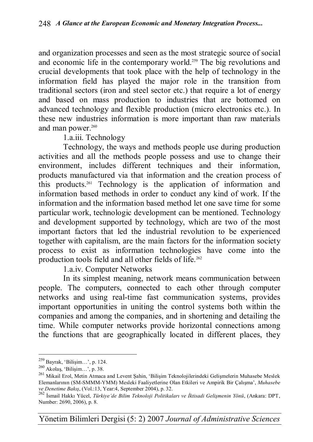and organization processes and seen as the most strategic source of social and economic life in the contemporary world.<sup>259</sup> The big revolutions and crucial developments that took place with the help of technology in the information field has played the major role in the transition from traditional sectors (iron and steel sector etc.) that require a lot of energy and based on mass production to industries that are bottomed on advanced technology and flexible production (micro electronics etc.). In these new industries information is more important than raw materials and man power.<sup>260</sup>

1.a.iii. Technology

Technology, the ways and methods people use during production activities and all the methods people possess and use to change their environment, includes different techniques and their information, products manufactured via that information and the creation process of this products.261 Technology is the application of information and information based methods in order to conduct any kind of work. If the information and the information based method let one save time for some particular work, technologic development can be mentioned. Technology and development supported by technology, which are two of the most important factors that led the industrial revolution to be experienced together with capitalism, are the main factors for the information society process to exist as information technologies have come into the production tools field and all other fields of life.<sup>262</sup>

1.a.iv. Computer Networks

In its simplest meaning, network means communication between people. The computers, connected to each other through computer networks and using real-time fast communication systems, provides important opportunities in uniting the control systems both within the companies and among the companies, and in shortening and detailing the time. While computer networks provide horizontal connections among the functions that are geographically located in different places, they

 $\overline{a}$ 

Yönetim Bilimleri Dergisi (5: 2) 2007 *Journal of Administrative Sciences*

<sup>259</sup> Bayrak, 'Bilişim…', p. 124.

<sup>260</sup> Akolaş, 'Bilişim…', p. 38.

<sup>261</sup> Mikail Erol, Metin Atmaca and Levent Şahin, 'Bilişim Teknolojilerindeki Gelişmelerin Muhasebe Meslek Elemanlarının (SM-SMMM-YMM) Mesleki Faaliyetlerine Olan Etkileri ve Ampirik Bir Çalışma', *Muhasebe ve Denetime Bakış*, (Vol.:13, Year:4, September 2004), p. 32.

<sup>262</sup> İsmail Hakkı Yücel, *Türkiye'de Bilim Teknoloji Politikaları ve İktisadi Gelişmenin Yönü*, (Ankara: DPT, Number: 2690, 2006), p. 8.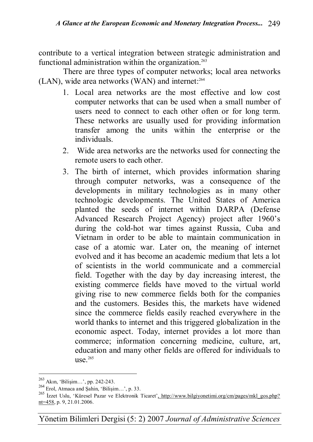contribute to a vertical integration between strategic administration and functional administration within the organization.<sup>263</sup>

There are three types of computer networks; local area networks (LAN), wide area networks (WAN) and internet:<sup>264</sup>

- 1. Local area networks are the most effective and low cost computer networks that can be used when a small number of users need to connect to each other often or for long term. These networks are usually used for providing information transfer among the units within the enterprise or the individuals.
- 2. Wide area networks are the networks used for connecting the remote users to each other.
- 3. The birth of internet, which provides information sharing through computer networks, was a consequence of the developments in military technologies as in many other technologic developments. The United States of America planted the seeds of internet within DARPA (Defense Advanced Research Project Agency) project after 1960's during the cold-hot war times against Russia, Cuba and Vietnam in order to be able to maintain communication in case of a atomic war. Later on, the meaning of internet evolved and it has become an academic medium that lets a lot of scientists in the world communicate and a commercial field. Together with the day by day increasing interest, the existing commerce fields have moved to the virtual world giving rise to new commerce fields both for the companies and the customers. Besides this, the markets have widened since the commerce fields easily reached everywhere in the world thanks to internet and this triggered globalization in the economic aspect. Today, internet provides a lot more than commerce; information concerning medicine, culture, art, education and many other fields are offered for individuals to use $265$

<sup>&</sup>lt;sup>263</sup> Akın, 'Bilişim...', pp. 242-243.

 $^{264}$  Erol, Atmaca and Şahin, 'Bilişim...', p. 33.

<sup>&</sup>lt;sup>265</sup> İzzet Uslu, 'Küresel Pazar ve Elektronik Ticaret'<u>, http://www.bilgiyonetimi.org/cm/pages/mkl\_gos.php?</u> nt=458, p. 9, 21.01.2006.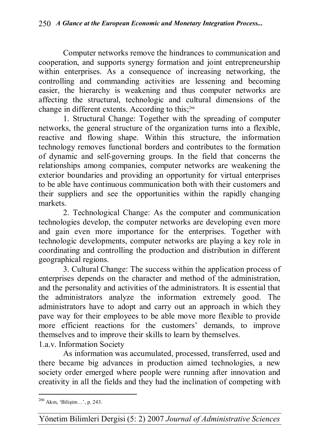Computer networks remove the hindrances to communication and cooperation, and supports synergy formation and joint entrepreneurship within enterprises. As a consequence of increasing networking, the controlling and commanding activities are lessening and becoming easier, the hierarchy is weakening and thus computer networks are affecting the structural, technologic and cultural dimensions of the change in different extents. According to this;<sup>266</sup>

1. Structural Change: Together with the spreading of computer networks, the general structure of the organization turns into a flexible, reactive and flowing shape. Within this structure, the information technology removes functional borders and contributes to the formation of dynamic and self-governing groups. In the field that concerns the relationships among companies, computer networks are weakening the exterior boundaries and providing an opportunity for virtual enterprises to be able have continuous communication both with their customers and their suppliers and see the opportunities within the rapidly changing markets.

2. Technological Change: As the computer and communication technologies develop, the computer networks are developing even more and gain even more importance for the enterprises. Together with technologic developments, computer networks are playing a key role in coordinating and controlling the production and distribution in different geographical regions.

3. Cultural Change: The success within the application process of enterprises depends on the character and method of the administration, and the personality and activities of the administrators. It is essential that the administrators analyze the information extremely good. The administrators have to adopt and carry out an approach in which they pave way for their employees to be able move more flexible to provide more efficient reactions for the customers' demands, to improve themselves and to improve their skills to learn by themselves. 1.a.v. Information Society

As information was accumulated, processed, transferred, used and there became big advances in production aimed technologies, a new society order emerged where people were running after innovation and creativity in all the fields and they had the inclination of competing with

Yönetim Bilimleri Dergisi (5: 2) 2007 *Journal of Administrative Sciences*

 $\overline{a}$ <sup>266</sup> Akın, 'Bilişim…', p. 243.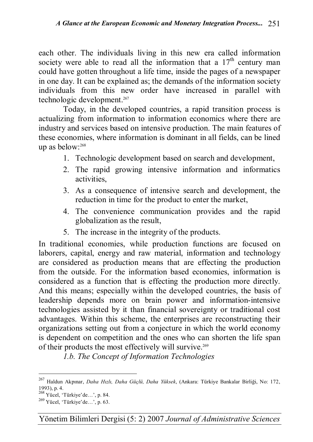each other. The individuals living in this new era called information society were able to read all the information that a  $17<sup>th</sup>$  century man could have gotten throughout a life time, inside the pages of a newspaper in one day. It can be explained as; the demands of the information society individuals from this new order have increased in parallel with technologic development.<sup>267</sup>

Today, in the developed countries, a rapid transition process is actualizing from information to information economics where there are industry and services based on intensive production. The main features of these economies, where information is dominant in all fields, can be lined up as below:<sup>268</sup>

- 1. Technologic development based on search and development,
- 2. The rapid growing intensive information and informatics activities,
- 3. As a consequence of intensive search and development, the reduction in time for the product to enter the market,
- 4. The convenience communication provides and the rapid globalization as the result,
- 5. The increase in the integrity of the products.

In traditional economies, while production functions are focused on laborers, capital, energy and raw material, information and technology are considered as production means that are effecting the production from the outside. For the information based economies, information is considered as a function that is effecting the production more directly. And this means; especially within the developed countries, the basis of leadership depends more on brain power and information-intensive technologies assisted by it than financial sovereignty or traditional cost advantages. Within this scheme, the enterprises are reconstructing their organizations setting out from a conjecture in which the world economy is dependent on competition and the ones who can shorten the life span of their products the most effectively will survive.<sup>269</sup>

*1.b. The Concept of Information Technologies*

<sup>267</sup> Haldun Akpınar, *Daha Hızlı, Daha Güçlü, Daha Yüksek*, (Ankara: Türkiye Bankalar Birliği, No: 172, 1993), p. 4.

<sup>268</sup> Yücel, 'Türkiye'de…', p. 84.

 $^{269}$  Yücel, 'Türkiye'de…', p. 63.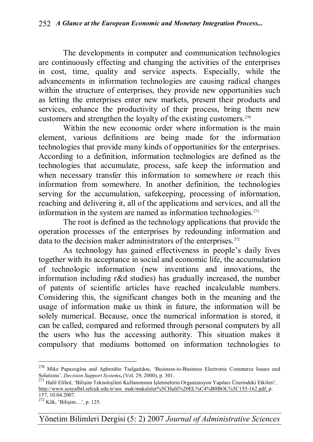The developments in computer and communication technologies are continuously effecting and changing the activities of the enterprises in cost, time, quality and service aspects. Especially, while the advancements in information technologies are causing radical changes within the structure of enterprises, they provide new opportunities such as letting the enterprises enter new markets, present their products and services, enhance the productivity of their process, bring them new customers and strengthen the loyalty of the existing customers.<sup>270</sup>

Within the new economic order where information is the main element, various definitions are being made for the information technologies that provide many kinds of opportunities for the enterprises. According to a definition, information technologies are defined as the technologies that accumulate, process, safe keep the information and when necessary transfer this information to somewhere or reach this information from somewhere. In another definition, the technologies serving for the accumulation, safekeeping, processing of information, reaching and delivering it, all of the applications and services, and all the information in the system are named as information technologies. $271$ 

The root is defined as the technology applications that provide the operation processes of the enterprises by redounding information and data to the decision maker administrators of the enterprises.<sup>272</sup>

As technology has gained effectiveness in people's daily lives together with its acceptance in social and economic life, the accumulation of technologic information (new inventions and innovations, the information including r&d studies) has gradually increased, the number of patents of scientific articles have reached incalculable numbers. Considering this, the significant changes both in the meaning and the usage of information make us think in future, the information will be solely numerical. Because, once the numerical information is stored, it can be called, compared and reformed through personal computers by all the users who has the accessing authority. This situation makes it compulsory that mediums bottomed on information technologies to

 $\overline{a}$ 

Yönetim Bilimleri Dergisi (5: 2) 2007 *Journal of Administrative Sciences*

<sup>&</sup>lt;sup>270</sup> Mike Papazoglou and Aphrodite Tsalgatidou, 'Business-to-Business Electronic Commerce Issues and Solutions', *Decision Support Systems***,** (Vol. 29, 2000), p. 301.

<sup>271</sup> Halil Elibol, 'Bilişim Teknolojileri Kullanımının İşletmelerin Organizasyon Yapıları Üzerindeki Etkileri', http://www.sosyalbil.selcuk.edu.tr/sos\_mak/makaleler%5CHalil%20EL%C4%B0BOL%5C155-162.pdf, p. 157, 10.04.2007.

<sup>272</sup> Kök, 'Bilişim…', p. 125.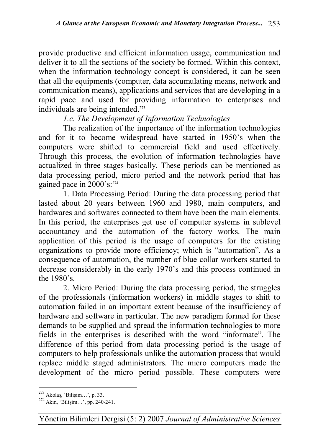provide productive and efficient information usage, communication and deliver it to all the sections of the society be formed. Within this context, when the information technology concept is considered, it can be seen that all the equipments (computer, data accumulating means, network and communication means), applications and services that are developing in a rapid pace and used for providing information to enterprises and individuals are being intended.<sup>273</sup>

## *1.c. The Development of Information Technologies*

The realization of the importance of the information technologies and for it to become widespread have started in 1950's when the computers were shifted to commercial field and used effectively. Through this process, the evolution of information technologies have actualized in three stages basically. These periods can be mentioned as data processing period, micro period and the network period that has gained pace in 2000's:<sup>274</sup>

1. Data Processing Period: During the data processing period that lasted about 20 years between 1960 and 1980, main computers, and hardwares and softwares connected to them have been the main elements. In this period, the enterprises get use of computer systems in sublevel accountancy and the automation of the factory works. The main application of this period is the usage of computers for the existing organizations to provide more efficiency; which is "automation". As a consequence of automation, the number of blue collar workers started to decrease considerably in the early 1970's and this process continued in the 1980's.

2. Micro Period: During the data processing period, the struggles of the professionals (information workers) in middle stages to shift to automation failed in an important extent because of the insufficiency of hardware and software in particular. The new paradigm formed for these demands to be supplied and spread the information technologies to more fields in the enterprises is described with the word "informate". The difference of this period from data processing period is the usage of computers to help professionals unlike the automation process that would replace middle staged administrators. The micro computers made the development of the micro period possible. These computers were

 $\overline{a}$  $273$  Akolas, 'Bilisim...', p. 33.

<sup>274</sup> Akın, 'Bilişim…', pp. 240-241.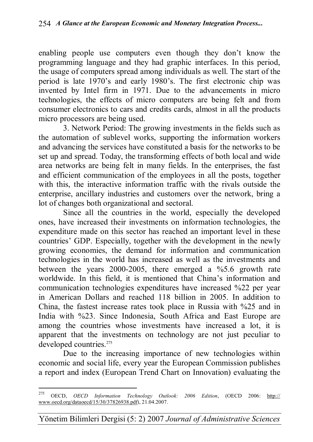enabling people use computers even though they don't know the programming language and they had graphic interfaces. In this period, the usage of computers spread among individuals as well. The start of the period is late 1970's and early 1980's. The first electronic chip was invented by Intel firm in 1971. Due to the advancements in micro technologies, the effects of micro computers are being felt and from consumer electronics to cars and credits cards, almost in all the products micro processors are being used.

3. Network Period: The growing investments in the fields such as the automation of sublevel works, supporting the information workers and advancing the services have constituted a basis for the networks to be set up and spread. Today, the transforming effects of both local and wide area networks are being felt in many fields. In the enterprises, the fast and efficient communication of the employees in all the posts, together with this, the interactive information traffic with the rivals outside the enterprise, ancillary industries and customers over the network, bring a lot of changes both organizational and sectoral.

Since all the countries in the world, especially the developed ones, have increased their investments on information technologies, the expenditure made on this sector has reached an important level in these countries' GDP. Especially, together with the development in the newly growing economies, the demand for information and communication technologies in the world has increased as well as the investments and between the years 2000-2005, there emerged a %5.6 growth rate worldwide. In this field, it is mentioned that China's information and communication technologies expenditures have increased %22 per year in American Dollars and reached 118 billion in 2005. In addition to China, the fastest increase rates took place in Russia with %25 and in India with %23. Since Indonesia, South Africa and East Europe are among the countries whose investments have increased a lot, it is apparent that the investments on technology are not just peculiar to developed countries.<sup>275</sup>

Due to the increasing importance of new technologies within economic and social life, every year the European Commission publishes a report and index (European Trend Chart on Innovation) evaluating the

<sup>275</sup> <sup>275</sup> OECD, *OECD Information Technology Outlook: 2006 Edition*, (OECD 2006: http:// www.oecd.org/dataoecd/15/30/37826938.pdf), 21.04.2007.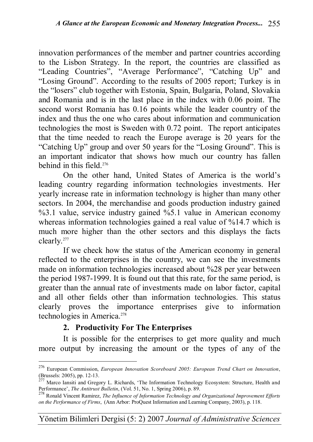innovation performances of the member and partner countries according to the Lisbon Strategy. In the report, the countries are classified as "Leading Countries", "Average Performance", "Catching Up" and "Losing Ground". According to the results of 2005 report; Turkey is in the "losers" club together with Estonia, Spain, Bulgaria, Poland, Slovakia and Romania and is in the last place in the index with 0.06 point. The second worst Romania has 0.16 points while the leader country of the index and thus the one who cares about information and communication technologies the most is Sweden with 0.72 point. The report anticipates that the time needed to reach the Europe average is 20 years for the "Catching Up" group and over 50 years for the "Losing Ground". This is an important indicator that shows how much our country has fallen behind in this field.<sup>276</sup>

On the other hand, United States of America is the world's leading country regarding information technologies investments. Her yearly increase rate in information technology is higher than many other sectors. In 2004, the merchandise and goods production industry gained %3.1 value, service industry gained %5.1 value in American economy whereas information technologies gained a real value of %14.7 which is much more higher than the other sectors and this displays the facts clearly.<sup>277</sup>

If we check how the status of the American economy in general reflected to the enterprises in the country, we can see the investments made on information technologies increased about %28 per year between the period 1987-1999. It is found out that this rate, for the same period, is greater than the annual rate of investments made on labor factor, capital and all other fields other than information technologies. This status clearly proves the importance enterprises give to information technologies in America.<sup>278</sup>

## **2. Productivity For The Enterprises**

 $\overline{a}$ 

It is possible for the enterprises to get more quality and much more output by increasing the amount or the types of any of the

<sup>276</sup> European Commission, *European Innovation Scoreboard 2005: European Trend Chart on Innovation*, (Brussels: 2005), pp. 12-13.

<sup>&</sup>lt;sup>277</sup> Marco Iansiti and Gregory L. Richards, 'The Information Technology Ecosystem: Structure, Health and Performance', *The Antitrust Bulletin*, (Vol. 51, No. 1, Spring 2006), p. 89.

<sup>278</sup> Ronald Vincent Ramirez, *The Influence of Information Technology and Organizational Improvement Efforts on the Performance of Firms*, (Ann Arbor: ProQuest Information and Learning Company, 2003), p. 118.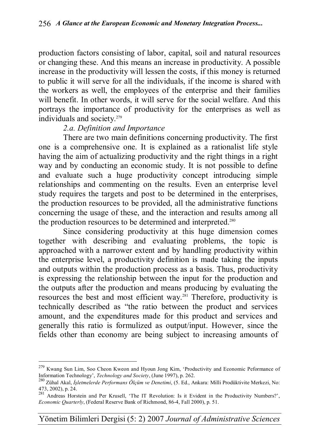production factors consisting of labor, capital, soil and natural resources or changing these. And this means an increase in productivity. A possible increase in the productivity will lessen the costs, if this money is returned to public it will serve for all the individuals, if the income is shared with the workers as well, the employees of the enterprise and their families will benefit. In other words, it will serve for the social welfare. And this portrays the importance of productivity for the enterprises as well as individuals and society.<sup>279</sup>

### *2.a. Definition and Importance*

 $\overline{a}$ 

There are two main definitions concerning productivity. The first one is a comprehensive one. It is explained as a rationalist life style having the aim of actualizing productivity and the right things in a right way and by conducting an economic study. It is not possible to define and evaluate such a huge productivity concept introducing simple relationships and commenting on the results. Even an enterprise level study requires the targets and post to be determined in the enterprises, the production resources to be provided, all the administrative functions concerning the usage of these, and the interaction and results among all the production resources to be determined and interpreted.<sup>280</sup>

Since considering productivity at this huge dimension comes together with describing and evaluating problems, the topic is approached with a narrower extent and by handling productivity within the enterprise level, a productivity definition is made taking the inputs and outputs within the production process as a basis. Thus, productivity is expressing the relationship between the input for the production and the outputs after the production and means producing by evaluating the resources the best and most efficient way.<sup>281</sup> Therefore, productivity is technically described as "the ratio between the product and services amount, and the expenditures made for this product and services and generally this ratio is formulized as output/input. However, since the fields other than economy are being subject to increasing amounts of

<sup>&</sup>lt;sup>279</sup> Kwang Sun Lim, Soo Cheon Kweon and Hyoun Jong Kim, 'Productivity and Economic Peformance of Information Technology', *Technology and Society*, (June 1997), p. 262.

<sup>280</sup> Zühal Akal, *İşletmelerde Performans Ölçüm ve Denetimi*, (5. Ed., Ankara: Milli Prodüktivite Merkezi, No: 473, 2002), p. 24.

<sup>281</sup> Andreas Horstein and Per Krusell, 'The IT Revolution: Is it Evident in the Productivity Numbers?', *Economic Quarterly*, (Federal Reserve Bank of Richmond, 86-4, Fall 2000), p. 51.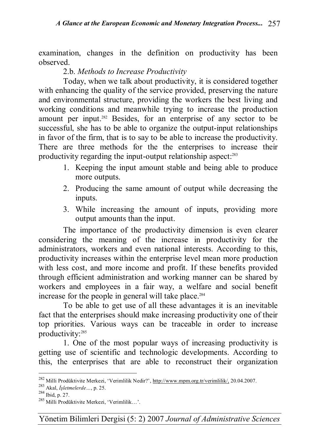examination, changes in the definition on productivity has been observed.

### 2.b. *Methods to Increase Productivity*

Today, when we talk about productivity, it is considered together with enhancing the quality of the service provided, preserving the nature and environmental structure, providing the workers the best living and working conditions and meanwhile trying to increase the production amount per input.<sup>282</sup> Besides, for an enterprise of any sector to be successful, she has to be able to organize the output-input relationships in favor of the firm, that is to say to be able to increase the productivity. There are three methods for the the enterprises to increase their productivity regarding the input-output relationship aspect:<sup>283</sup>

- 1. Keeping the input amount stable and being able to produce more outputs.
- 2. Producing the same amount of output while decreasing the inputs.
- 3. While increasing the amount of inputs, providing more output amounts than the input.

The importance of the productivity dimension is even clearer considering the meaning of the increase in productivity for the administrators, workers and even national interests. According to this, productivity increases within the enterprise level mean more production with less cost, and more income and profit. If these benefits provided through efficient administration and working manner can be shared by workers and employees in a fair way, a welfare and social benefit increase for the people in general will take place.<sup>284</sup>

To be able to get use of all these advantages it is an inevitable fact that the enterprises should make increasing productivity one of their top priorities. Various ways can be traceable in order to increase productivity:<sup>285</sup>

1. One of the most popular ways of increasing productivity is getting use of scientific and technologic developments. According to this, the enterprises that are able to reconstruct their organization

<sup>&</sup>lt;sup>282</sup> Milli Prodüktivite Merkezi, 'Verimlilik Nedir?', http://www.mpm.org.tr/verimlilik/, 20.04.2007.

<sup>283</sup> Akal, *İşletmelerde…*, p. 25.

<sup>284</sup> Ibid, p. 27.

<sup>285</sup> Milli Prodüktivite Merkezi, 'Verimlilik…'.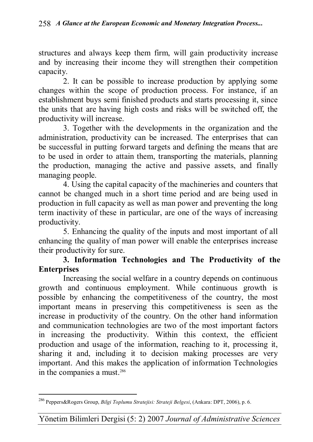structures and always keep them firm, will gain productivity increase and by increasing their income they will strengthen their competition capacity.

2. It can be possible to increase production by applying some changes within the scope of production process. For instance, if an establishment buys semi finished products and starts processing it, since the units that are having high costs and risks will be switched off, the productivity will increase.

3. Together with the developments in the organization and the administration, productivity can be increased. The enterprises that can be successful in putting forward targets and defining the means that are to be used in order to attain them, transporting the materials, planning the production, managing the active and passive assets, and finally managing people.

4. Using the capital capacity of the machineries and counters that cannot be changed much in a short time period and are being used in production in full capacity as well as man power and preventing the long term inactivity of these in particular, are one of the ways of increasing productivity.

5. Enhancing the quality of the inputs and most important of all enhancing the quality of man power will enable the enterprises increase their productivity for sure.

### **3. Information Technologies and The Productivity of the Enterprises**

Increasing the social welfare in a country depends on continuous growth and continuous employment. While continuous growth is possible by enhancing the competitiveness of the country, the most important means in preserving this competitiveness is seen as the increase in productivity of the country. On the other hand information and communication technologies are two of the most important factors in increasing the productivity. Within this context, the efficient production and usage of the information, reaching to it, processing it, sharing it and, including it to decision making processes are very important. And this makes the application of information Technologies in the companies a must.<sup>286</sup>

 $\overline{a}$ <sup>286</sup> Peppers&Rogers Group, *Bilgi Toplumu Stratejisi: Strateji Belgesi*, (Ankara: DPT, 2006), p. 6.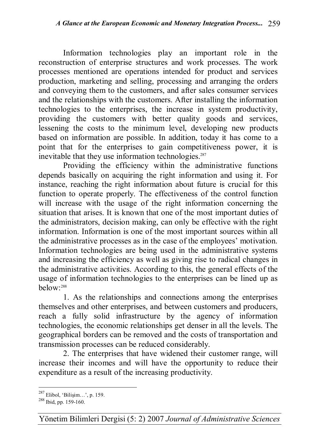Information technologies play an important role in the reconstruction of enterprise structures and work processes. The work processes mentioned are operations intended for product and services production, marketing and selling, processing and arranging the orders and conveying them to the customers, and after sales consumer services and the relationships with the customers. After installing the information technologies to the enterprises, the increase in system productivity, providing the customers with better quality goods and services, lessening the costs to the minimum level, developing new products based on information are possible. In addition, today it has come to a point that for the enterprises to gain competitiveness power, it is inevitable that they use information technologies.<sup>287</sup>

Providing the efficiency within the administrative functions depends basically on acquiring the right information and using it. For instance, reaching the right information about future is crucial for this function to operate properly. The effectiveness of the control function will increase with the usage of the right information concerning the situation that arises. It is known that one of the most important duties of the administrators, decision making, can only be effective with the right information. Information is one of the most important sources within all the administrative processes as in the case of the employees' motivation. Information technologies are being used in the administrative systems and increasing the efficiency as well as giving rise to radical changes in the administrative activities. According to this, the general effects of the usage of information technologies to the enterprises can be lined up as  $below<sup>288</sup>$ 

1. As the relationships and connections among the enterprises themselves and other enterprises, and between customers and producers, reach a fully solid infrastructure by the agency of information technologies, the economic relationships get denser in all the levels. The geographical borders can be removed and the costs of transportation and transmission processes can be reduced considerably.

2. The enterprises that have widened their customer range, will increase their incomes and will have the opportunity to reduce their expenditure as a result of the increasing productivity.

 $\overline{a}$ <sup>287</sup> Elibol, 'Bilişim...', p. 159.

 $288$  Ibid, pp. 159-160.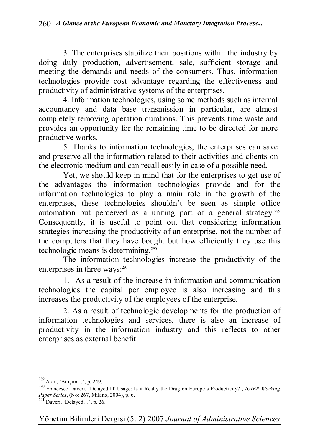3. The enterprises stabilize their positions within the industry by doing duly production, advertisement, sale, sufficient storage and meeting the demands and needs of the consumers. Thus, information technologies provide cost advantage regarding the effectiveness and productivity of administrative systems of the enterprises.

4. Information technologies, using some methods such as internal accountancy and data base transmission in particular, are almost completely removing operation durations. This prevents time waste and provides an opportunity for the remaining time to be directed for more productive works.

5. Thanks to information technologies, the enterprises can save and preserve all the information related to their activities and clients on the electronic medium and can recall easily in case of a possible need.

Yet, we should keep in mind that for the enterprises to get use of the advantages the information technologies provide and for the information technologies to play a main role in the growth of the enterprises, these technologies shouldn't be seen as simple office automation but perceived as a uniting part of a general strategy.<sup>289</sup> Consequently, it is useful to point out that considering information strategies increasing the productivity of an enterprise, not the number of the computers that they have bought but how efficiently they use this technologic means is determining.<sup>290</sup>

The information technologies increase the productivity of the enterprises in three ways:<sup>291</sup>

1. As a result of the increase in information and communication technologies the capital per employee is also increasing and this increases the productivity of the employees of the enterprise.

2. As a result of technologic developments for the production of information technologies and services, there is also an increase of productivity in the information industry and this reflects to other enterprises as external benefit.

<sup>289</sup> Akın, 'Bilişim…', p. 249.

<sup>290</sup> Francesco Daveri, 'Delayed IT Usage: Is it Really the Drag on Europe's Productivity?', *IGIER Working Paper Series*, (No: 267, Milano, 2004), p. 6.

 $^{291}$  Daveri, 'Delayed...', p. 26.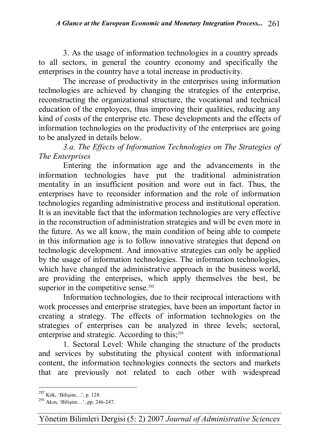3. As the usage of information technologies in a country spreads to all sectors, in general the country economy and specifically the enterprises in the country have a total increase in productivity.

The increase of productivity in the enterprises using information technologies are achieved by changing the strategies of the enterprise, reconstructing the organizational structure, the vocational and technical education of the employees, thus improving their qualities, reducing any kind of costs of the enterprise etc. These developments and the effects of information technologies on the productivity of the enterprises are going to be analyzed in details below.

*3.a. The Effects of Information Technologies on The Strategies of The Enterprises* 

Entering the information age and the advancements in the information technologies have put the traditional administration mentality in an insufficient position and wore out in fact. Thus, the enterprises have to reconsider information and the role of information technologies regarding administrative process and institutional operation. It is an inevitable fact that the information technologies are very effective in the reconstruction of administration strategies and will be even more in the future. As we all know, the main condition of being able to compete in this information age is to follow innovative strategies that depend on technologic development. And innovative strategies can only be applied by the usage of information technologies. The information technologies, which have changed the administrative approach in the business world, are providing the enterprises, which apply themselves the best, be superior in the competitive sense. $292$ 

Information technologies, due to their reciprocal interactions with work processes and enterprise strategies, have been an important factor in creating a strategy. The effects of information technologies on the strategies of enterprises can be analyzed in three levels; sectoral, enterprise and strategic. According to this;<sup>293</sup>

1. Sectoral Level: While changing the structure of the products and services by substituting the physical content with informational content, the information technologies connects the sectors and markets that are previously not related to each other with widespread

 $\overline{a}$ <sup>292</sup> Kök, 'Bilişim…', p. 128.

<sup>293</sup> Akın, 'Bilişim…', pp. 246-247.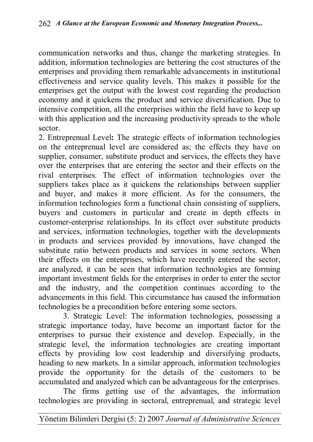communication networks and thus, change the marketing strategies. In addition, information technologies are bettering the cost structures of the enterprises and providing them remarkable advancements in institutional effectiveness and service quality levels. This makes it possible for the enterprises get the output with the lowest cost regarding the production economy and it quickens the product and service diversification. Due to intensive competition, all the enterprises within the field have to keep up with this application and the increasing productivity spreads to the whole sector.

2. Entreprenual Level**:** The strategic effects of information technologies on the entreprenual level are considered as; the effects they have on supplier, consumer, substitute product and services, the effects they have over the enterprises that are entering the sector and their effects on the rival enterprises. The effect of information technologies over the suppliers takes place as it quickens the relationships between supplier and buyer, and makes it more efficient. As for the consumers, the information technologies form a functional chain consisting of suppliers, buyers and customers in particular and create in depth effects in customer-enterprise relationships. In its effect over substitute products and services, information technologies, together with the developments in products and services provided by innovations, have changed the substitute ratio between products and services in some sectors. When their effects on the enterprises, which have recently entered the sector, are analyzed, it can be seen that information technologies are forming important investment fields for the enterprises in order to enter the sector and the industry, and the competition continues according to the advancements in this field. This circumstance has caused the information technologies be a precondition before entering some sectors.

3. Strategic Level: The information technologies, possessing a strategic importance today, have become an important factor for the enterprises to pursue their existence and develop. Especially, in the strategic level, the information technologies are creating important effects by providing low cost leadership and diversifying products, heading to new markets. In a similar approach, information technologies provide the opportunity for the details of the customers to be accumulated and analyzed which can be advantageous for the enterprises.

The firms getting use of the advantages, the information technologies are providing in sectoral, entreprenual, and strategic level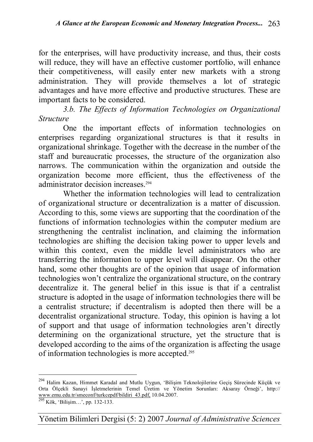for the enterprises, will have productivity increase, and thus, their costs will reduce, they will have an effective customer portfolio, will enhance their competitiveness, will easily enter new markets with a strong administration. They will provide themselves a lot of strategic advantages and have more effective and productive structures. These are important facts to be considered.

*3.b. The Effects of Information Technologies on Organizational Structure* 

One the important effects of information technologies on enterprises regarding organizational structures is that it results in organizational shrinkage. Together with the decrease in the number of the staff and bureaucratic processes, the structure of the organization also narrows. The communication within the organization and outside the organization become more efficient, thus the effectiveness of the administrator decision increases.<sup>294</sup>

Whether the information technologies will lead to centralization of organizational structure or decentralization is a matter of discussion. According to this, some views are supporting that the coordination of the functions of information technologies within the computer medium are strengthening the centralist inclination, and claiming the information technologies are shifting the decision taking power to upper levels and within this context, even the middle level administrators who are transferring the information to upper level will disappear. On the other hand, some other thoughts are of the opinion that usage of information technologies won't centralize the organizational structure, on the contrary decentralize it. The general belief in this issue is that if a centralist structure is adopted in the usage of information technologies there will be a centralist structure; if decentralism is adopted then there will be a decentralist organizational structure. Today, this opinion is having a lot of support and that usage of information technologies aren't directly determining on the organizational structure, yet the structure that is developed according to the aims of the organization is affecting the usage of information technologies is more accepted.<sup>295</sup>

 $\overline{a}$ 

Yönetim Bilimleri Dergisi (5: 2) 2007 *Journal of Administrative Sciences*

<sup>&</sup>lt;sup>294</sup> Halim Kazan, Himmet Karadal and Mutlu Uygun, 'Bilişim Teknolojilerine Geçiş Sürecinde Küçük ve Orta Ölçekli Sanayi İşletmelerinin Temel Üretim ve Yönetim Sorunları: Aksaray Örneği', http:// www.emu.edu.tr/smeconf/turkcepdf/bildiri\_43.pdf, 10.04.2007.<br><sup>295</sup> Kök, 'Bilişim…', pp. 132-133.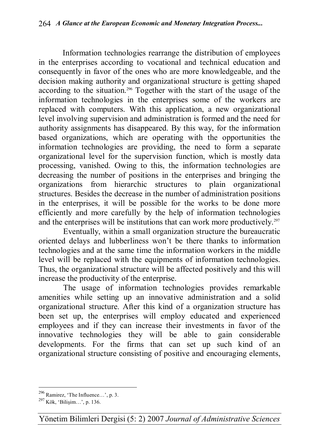Information technologies rearrange the distribution of employees in the enterprises according to vocational and technical education and consequently in favor of the ones who are more knowledgeable, and the decision making authority and organizational structure is getting shaped according to the situation.<sup>296</sup> Together with the start of the usage of the information technologies in the enterprises some of the workers are replaced with computers. With this application, a new organizational level involving supervision and administration is formed and the need for authority assignments has disappeared. By this way, for the information based organizations, which are operating with the opportunities the information technologies are providing, the need to form a separate organizational level for the supervision function, which is mostly data processing, vanished. Owing to this, the information technologies are decreasing the number of positions in the enterprises and bringing the organizations from hierarchic structures to plain organizational structures. Besides the decrease in the number of administration positions in the enterprises, it will be possible for the works to be done more efficiently and more carefully by the help of information technologies and the enterprises will be institutions that can work more productively.<sup>297</sup>

Eventually, within a small organization structure the bureaucratic oriented delays and lubberliness won't be there thanks to information technologies and at the same time the information workers in the middle level will be replaced with the equipments of information technologies. Thus, the organizational structure will be affected positively and this will increase the productivity of the enterprise.

The usage of information technologies provides remarkable amenities while setting up an innovative administration and a solid organizational structure. After this kind of a organization structure has been set up, the enterprises will employ educated and experienced employees and if they can increase their investments in favor of the innovative technologies they will be able to gain considerable developments. For the firms that can set up such kind of an organizational structure consisting of positive and encouraging elements,

 $\overline{a}$  $^{296}$  Ramirez, 'The Influence...', p. 3.

 $^{297}$  Kök, 'Bilisim...', p. 136.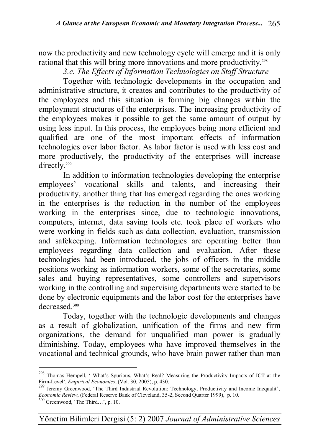now the productivity and new technology cycle will emerge and it is only rational that this will bring more innovations and more productivity.<sup>298</sup>

*3.c. The Effects of Information Technologies on Staff Structure*

Together with technologic developments in the occupation and administrative structure, it creates and contributes to the productivity of the employees and this situation is forming big changes within the employment structures of the enterprises. The increasing productivity of the employees makes it possible to get the same amount of output by using less input. In this process, the employees being more efficient and qualified are one of the most important effects of information technologies over labor factor. As labor factor is used with less cost and more productively, the productivity of the enterprises will increase directly.<sup>299</sup>

In addition to information technologies developing the enterprise employees' vocational skills and talents, and increasing their productivity, another thing that has emerged regarding the ones working in the enterprises is the reduction in the number of the employees working in the enterprises since, due to technologic innovations, computers, internet, data saving tools etc. took place of workers who were working in fields such as data collection, evaluation, transmission and safekeeping. Information technologies are operating better than employees regarding data collection and evaluation. After these technologies had been introduced, the jobs of officers in the middle positions working as information workers, some of the secretaries, some sales and buying representatives, some controllers and supervisors working in the controlling and supervising departments were started to be done by electronic equipments and the labor cost for the enterprises have decreased.<sup>300</sup>

Today, together with the technologic developments and changes as a result of globalization, unification of the firms and new firm organizations, the demand for unqualified man power is gradually diminishing. Today, employees who have improved themselves in the vocational and technical grounds, who have brain power rather than man

<sup>298</sup> Thomas Hempell, ' What's Spurious, What's Real? Measuring the Productivity Impacts of ICT at the Firm-Level', *Empirical Economics*, (Vol. 30, 2005), p. 430.

<sup>&</sup>lt;sup>299</sup> Jeremy Greenwood, 'The Third Industrial Revolution: Technology, Productivity and Income Inequalit', *Economic Review*, (Federal Reserve Bank of Cleveland, 35-2, Second Quarter 1999), p. 10.

<sup>300</sup> Greenwood, 'The Third…', p. 10.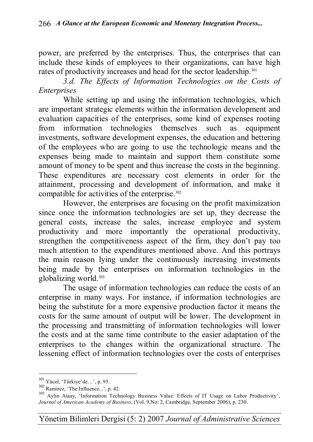power, are preferred by the enterprises. Thus, the enterprises that can include these kinds of employees to their organizations, can have high rates of productivity increases and head for the sector leadership.<sup>301</sup>

*3.d. The Effects of Information Technologies on the Costs of Enterprises*

While setting up and using the information technologies, which are important strategic elements within the information development and evaluation capacities of the enterprises, some kind of expenses rooting from information technologies themselves such as equipment investments, software development expenses, the education and bettering of the employees who are going to use the technologic means and the expenses being made to maintain and support them constitute some amount of money to be spent and thus increase the costs in the beginning. These expenditures are necessary cost elements in order for the attainment, processing and development of information, and make it compatible for activities of the enterprise.<sup>302</sup>

However, the enterprises are focusing on the profit maximization since once the information technologies are set up, they decrease the general costs, increase the sales, increase employee and system productivity and more importantly the operational productivity, strengthen the competitiveness aspect of the firm, they don't pay too much attention to the expenditures mentioned above. And this portrays the main reason lying under the continuously increasing investments being made by the enterprises on information technologies in the globalizing world.<sup>303</sup>

The usage of information technologies can reduce the costs of an enterprise in many ways. For instance, if information technologies are being the substitute for a more expensive production factor it means the costs for the same amount of output will be lower. The development in the processing and transmitting of information technologies will lower the costs and at the same time contribute to the easier adaptation of the enterprises to the changes within the organizational structure. The lessening effect of information technologies over the costs of enterprises

 $301$  Yücel, 'Türkiye'de...', p. 95.

<sup>302</sup> Ramirez, 'The Influence...', p. 42.

<sup>303</sup> Aylin Ataay, 'Information Technology Business Value: Effects of IT Usage on Labor Productivity', *Journal of American Academy of Business*, (Vol. 9,No: 2, Cambridge, September 2006), p. 230.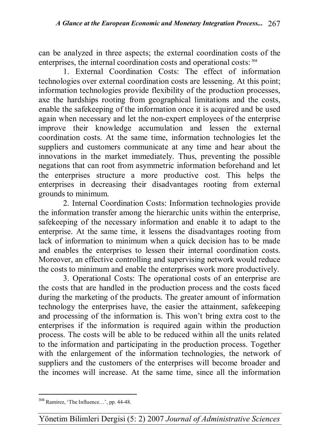can be analyzed in three aspects; the external coordination costs of the enterprises, the internal coordination costs and operational costs: <sup>304</sup>

1. External Coordination Costs: The effect of information technologies over external coordination costs are lessening. At this point; information technologies provide flexibility of the production processes, axe the hardships rooting from geographical limitations and the costs, enable the safekeeping of the information once it is acquired and be used again when necessary and let the non-expert employees of the enterprise improve their knowledge accumulation and lessen the external coordination costs. At the same time, information technologies let the suppliers and customers communicate at any time and hear about the innovations in the market immediately. Thus, preventing the possible negations that can root from asymmetric information beforehand and let the enterprises structure a more productive cost. This helps the enterprises in decreasing their disadvantages rooting from external grounds to minimum.

2. Internal Coordination Costs: Information technologies provide the information transfer among the hierarchic units within the enterprise, safekeeping of the necessary information and enable it to adapt to the enterprise. At the same time, it lessens the disadvantages rooting from lack of information to minimum when a quick decision has to be made and enables the enterprises to lessen their internal coordination costs. Moreover, an effective controlling and supervising network would reduce the costs to minimum and enable the enterprises work more productively.

3. Operational Costs: The operational costs of an enterprise are the costs that are handled in the production process and the costs faced during the marketing of the products. The greater amount of information technology the enterprises have, the easier the attainment, safekeeping and processing of the information is. This won't bring extra cost to the enterprises if the information is required again within the production process. The costs will be able to be reduced within all the units related to the information and participating in the production process. Together with the enlargement of the information technologies, the network of suppliers and the customers of the enterprises will become broader and the incomes will increase. At the same time, since all the information

 $\overline{a}$  $304$  Ramirez, 'The Influence...', pp. 44-48.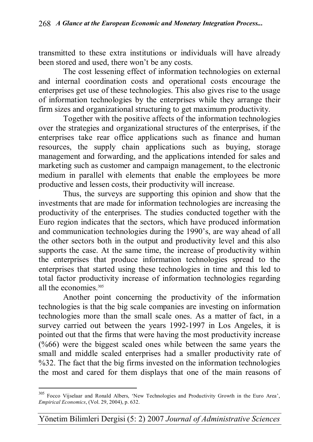transmitted to these extra institutions or individuals will have already been stored and used, there won't be any costs.

The cost lessening effect of information technologies on external and internal coordination costs and operational costs encourage the enterprises get use of these technologies. This also gives rise to the usage of information technologies by the enterprises while they arrange their firm sizes and organizational structuring to get maximum productivity.

Together with the positive affects of the information technologies over the strategies and organizational structures of the enterprises, if the enterprises take rear office applications such as finance and human resources, the supply chain applications such as buying, storage management and forwarding, and the applications intended for sales and marketing such as customer and campaign management, to the electronic medium in parallel with elements that enable the employees be more productive and lessen costs, their productivity will increase.

Thus, the surveys are supporting this opinion and show that the investments that are made for information technologies are increasing the productivity of the enterprises. The studies conducted together with the Euro region indicates that the sectors, which have produced information and communication technologies during the 1990's, are way ahead of all the other sectors both in the output and productivity level and this also supports the case. At the same time, the increase of productivity within the enterprises that produce information technologies spread to the enterprises that started using these technologies in time and this led to total factor productivity increase of information technologies regarding all the economies.<sup>305</sup>

Another point concerning the productivity of the information technologies is that the big scale companies are investing on information technologies more than the small scale ones. As a matter of fact, in a survey carried out between the years 1992-1997 in Los Angeles, it is pointed out that the firms that were having the most productivity increase (%66) were the biggest scaled ones while between the same years the small and middle scaled enterprises had a smaller productivity rate of %32. The fact that the big firms invested on the information technologies the most and cared for them displays that one of the main reasons of

<sup>&</sup>lt;sup>305</sup> Focco Vijselaar and Ronald Albers, 'New Technologies and Productivity Growth in the Euro Area', *Empirical Economics*, (Vol. 29, 2004), p. 632.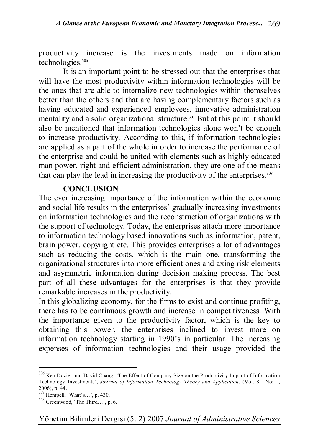productivity increase is the investments made on information technologies.<sup>306</sup>

It is an important point to be stressed out that the enterprises that will have the most productivity within information technologies will be the ones that are able to internalize new technologies within themselves better than the others and that are having complementary factors such as having educated and experienced employees, innovative administration mentality and a solid organizational structure.<sup>307</sup> But at this point it should also be mentioned that information technologies alone won't be enough to increase productivity. According to this, if information technologies are applied as a part of the whole in order to increase the performance of the enterprise and could be united with elements such as highly educated man power, right and efficient administration, they are one of the means that can play the lead in increasing the productivity of the enterprises.<sup>308</sup>

#### **CONCLUSION**

The ever increasing importance of the information within the economic and social life results in the enterprises' gradually increasing investments on information technologies and the reconstruction of organizations with the support of technology. Today, the enterprises attach more importance to information technology based innovations such as information, patent, brain power, copyright etc. This provides enterprises a lot of advantages such as reducing the costs, which is the main one, transforming the organizational structures into more efficient ones and axing risk elements and asymmetric information during decision making process. The best part of all these advantages for the enterprises is that they provide remarkable increases in the productivity.

In this globalizing economy, for the firms to exist and continue profiting, there has to be continuous growth and increase in competitiveness. With the importance given to the productivity factor, which is the key to obtaining this power, the enterprises inclined to invest more on information technology starting in 1990's in particular. The increasing expenses of information technologies and their usage provided the

<sup>&</sup>lt;sup>306</sup> Ken Dozier and David Chang, 'The Effect of Company Size on the Productivity Impact of Information Technology Investments', *Journal of Information Technology Theory and Application*, (Vol. 8, No: 1, 2006), p. 44.

<sup>307</sup> Hempell, 'What's…', p. 430.

<sup>308</sup> Greenwood, 'The Third…', p. 6.